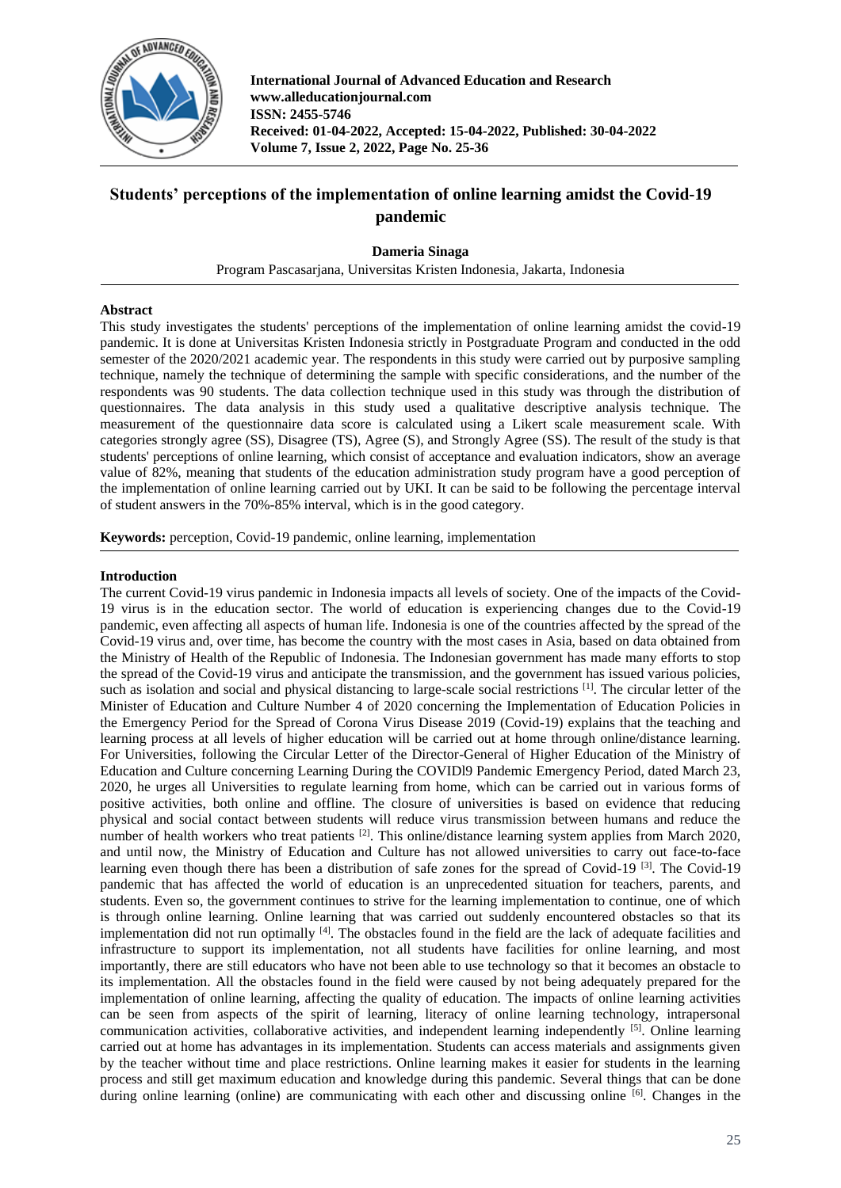

**International Journal of Advanced Education and Research www.alleducationjournal.com ISSN: 2455-5746 Received: 01-04-2022, Accepted: 15-04-2022, Published: 30-04-2022 Volume 7, Issue 2, 2022, Page No. 25-36**

# **Students' perceptions of the implementation of online learning amidst the Covid-19 pandemic**

### **Dameria Sinaga**

Program Pascasarjana, Universitas Kristen Indonesia, Jakarta, Indonesia

### **Abstract**

This study investigates the students' perceptions of the implementation of online learning amidst the covid-19 pandemic. It is done at Universitas Kristen Indonesia strictly in Postgraduate Program and conducted in the odd semester of the 2020/2021 academic year. The respondents in this study were carried out by purposive sampling technique, namely the technique of determining the sample with specific considerations, and the number of the respondents was 90 students. The data collection technique used in this study was through the distribution of questionnaires. The data analysis in this study used a qualitative descriptive analysis technique. The measurement of the questionnaire data score is calculated using a Likert scale measurement scale. With categories strongly agree (SS), Disagree (TS), Agree (S), and Strongly Agree (SS). The result of the study is that students' perceptions of online learning, which consist of acceptance and evaluation indicators, show an average value of 82%, meaning that students of the education administration study program have a good perception of the implementation of online learning carried out by UKI. It can be said to be following the percentage interval of student answers in the 70%-85% interval, which is in the good category.

**Keywords:** perception, Covid-19 pandemic, online learning, implementation

#### **Introduction**

The current Covid-19 virus pandemic in Indonesia impacts all levels of society. One of the impacts of the Covid-19 virus is in the education sector. The world of education is experiencing changes due to the Covid-19 pandemic, even affecting all aspects of human life. Indonesia is one of the countries affected by the spread of the Covid-19 virus and, over time, has become the country with the most cases in Asia, based on data obtained from the Ministry of Health of the Republic of Indonesia. The Indonesian government has made many efforts to stop the spread of the Covid-19 virus and anticipate the transmission, and the government has issued various policies, such as isolation and social and physical distancing to large-scale social restrictions [1]. The circular letter of the Minister of Education and Culture Number 4 of 2020 concerning the Implementation of Education Policies in the Emergency Period for the Spread of Corona Virus Disease 2019 (Covid-19) explains that the teaching and learning process at all levels of higher education will be carried out at home through online/distance learning. For Universities, following the Circular Letter of the Director-General of Higher Education of the Ministry of Education and Culture concerning Learning During the COVIDl9 Pandemic Emergency Period, dated March 23, 2020, he urges all Universities to regulate learning from home, which can be carried out in various forms of positive activities, both online and offline. The closure of universities is based on evidence that reducing physical and social contact between students will reduce virus transmission between humans and reduce the number of health workers who treat patients [2]. This online/distance learning system applies from March 2020, and until now, the Ministry of Education and Culture has not allowed universities to carry out face-to-face learning even though there has been a distribution of safe zones for the spread of Covid-19<sup>[3]</sup>. The Covid-19 pandemic that has affected the world of education is an unprecedented situation for teachers, parents, and students. Even so, the government continues to strive for the learning implementation to continue, one of which is through online learning. Online learning that was carried out suddenly encountered obstacles so that its implementation did not run optimally [4]. The obstacles found in the field are the lack of adequate facilities and infrastructure to support its implementation, not all students have facilities for online learning, and most importantly, there are still educators who have not been able to use technology so that it becomes an obstacle to its implementation. All the obstacles found in the field were caused by not being adequately prepared for the implementation of online learning, affecting the quality of education. The impacts of online learning activities can be seen from aspects of the spirit of learning, literacy of online learning technology, intrapersonal communication activities, collaborative activities, and independent learning independently [5]. Online learning carried out at home has advantages in its implementation. Students can access materials and assignments given by the teacher without time and place restrictions. Online learning makes it easier for students in the learning process and still get maximum education and knowledge during this pandemic. Several things that can be done during online learning (online) are communicating with each other and discussing online [6]. Changes in the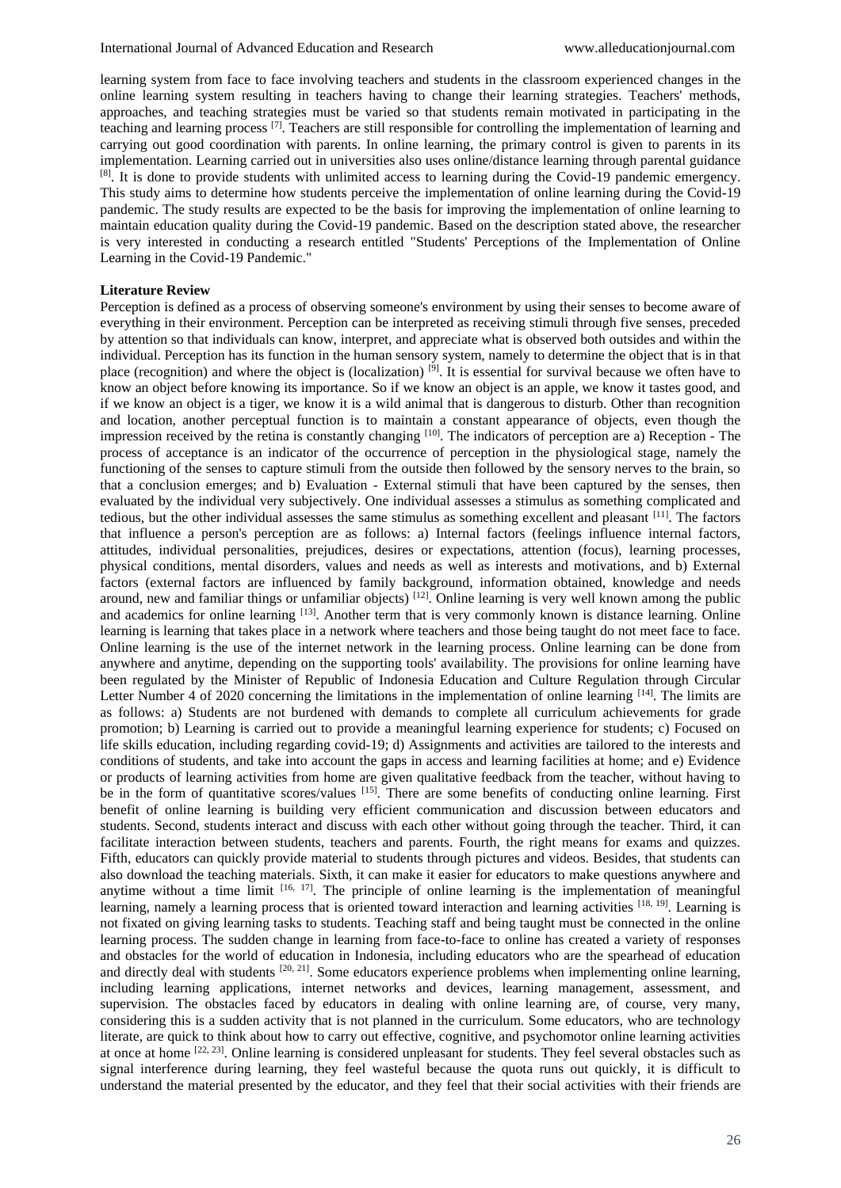learning system from face to face involving teachers and students in the classroom experienced changes in the online learning system resulting in teachers having to change their learning strategies. Teachers' methods, approaches, and teaching strategies must be varied so that students remain motivated in participating in the teaching and learning process [7]. Teachers are still responsible for controlling the implementation of learning and carrying out good coordination with parents. In online learning, the primary control is given to parents in its implementation. Learning carried out in universities also uses online/distance learning through parental guidance [8]. It is done to provide students with unlimited access to learning during the Covid-19 pandemic emergency. This study aims to determine how students perceive the implementation of online learning during the Covid-19 pandemic. The study results are expected to be the basis for improving the implementation of online learning to maintain education quality during the Covid-19 pandemic. Based on the description stated above, the researcher is very interested in conducting a research entitled "Students' Perceptions of the Implementation of Online Learning in the Covid-19 Pandemic."

#### **Literature Review**

Perception is defined as a process of observing someone's environment by using their senses to become aware of everything in their environment. Perception can be interpreted as receiving stimuli through five senses, preceded by attention so that individuals can know, interpret, and appreciate what is observed both outsides and within the individual. Perception has its function in the human sensory system, namely to determine the object that is in that place (recognition) and where the object is (localization)  $^{[9]}$ . It is essential for survival because we often have to know an object before knowing its importance. So if we know an object is an apple, we know it tastes good, and if we know an object is a tiger, we know it is a wild animal that is dangerous to disturb. Other than recognition and location, another perceptual function is to maintain a constant appearance of objects, even though the impression received by the retina is constantly changing <sup>[10]</sup>. The indicators of perception are a) Reception - The process of acceptance is an indicator of the occurrence of perception in the physiological stage, namely the functioning of the senses to capture stimuli from the outside then followed by the sensory nerves to the brain, so that a conclusion emerges; and b) Evaluation - External stimuli that have been captured by the senses, then evaluated by the individual very subjectively. One individual assesses a stimulus as something complicated and tedious, but the other individual assesses the same stimulus as something excellent and pleasant [11]. The factors that influence a person's perception are as follows: a) Internal factors (feelings influence internal factors, attitudes, individual personalities, prejudices, desires or expectations, attention (focus), learning processes, physical conditions, mental disorders, values and needs as well as interests and motivations, and b) External factors (external factors are influenced by family background, information obtained, knowledge and needs around, new and familiar things or unfamiliar objects)  $[12]$ . Online learning is very well known among the public and academics for online learning [13]. Another term that is very commonly known is distance learning. Online learning is learning that takes place in a network where teachers and those being taught do not meet face to face. Online learning is the use of the internet network in the learning process. Online learning can be done from anywhere and anytime, depending on the supporting tools' availability. The provisions for online learning have been regulated by the Minister of Republic of Indonesia Education and Culture Regulation through Circular Letter Number 4 of 2020 concerning the limitations in the implementation of online learning [14]. The limits are as follows: a) Students are not burdened with demands to complete all curriculum achievements for grade promotion; b) Learning is carried out to provide a meaningful learning experience for students; c) Focused on life skills education, including regarding covid-19; d) Assignments and activities are tailored to the interests and conditions of students, and take into account the gaps in access and learning facilities at home; and e) Evidence or products of learning activities from home are given qualitative feedback from the teacher, without having to be in the form of quantitative scores/values  $^{[15]}$ . There are some benefits of conducting online learning. First benefit of online learning is building very efficient communication and discussion between educators and students. Second, students interact and discuss with each other without going through the teacher. Third, it can facilitate interaction between students, teachers and parents. Fourth, the right means for exams and quizzes. Fifth, educators can quickly provide material to students through pictures and videos. Besides, that students can also download the teaching materials. Sixth, it can make it easier for educators to make questions anywhere and anytime without a time limit  $[16, 17]$ . The principle of online learning is the implementation of meaningful learning, namely a learning process that is oriented toward interaction and learning activities [18, 19]. Learning is not fixated on giving learning tasks to students. Teaching staff and being taught must be connected in the online learning process. The sudden change in learning from face-to-face to online has created a variety of responses and obstacles for the world of education in Indonesia, including educators who are the spearhead of education and directly deal with students <sup>[20, 21]</sup>. Some educators experience problems when implementing online learning, including learning applications, internet networks and devices, learning management, assessment, and supervision. The obstacles faced by educators in dealing with online learning are, of course, very many, considering this is a sudden activity that is not planned in the curriculum. Some educators, who are technology literate, are quick to think about how to carry out effective, cognitive, and psychomotor online learning activities at once at home  $[22, 23]$ . Online learning is considered unpleasant for students. They feel several obstacles such as signal interference during learning, they feel wasteful because the quota runs out quickly, it is difficult to understand the material presented by the educator, and they feel that their social activities with their friends are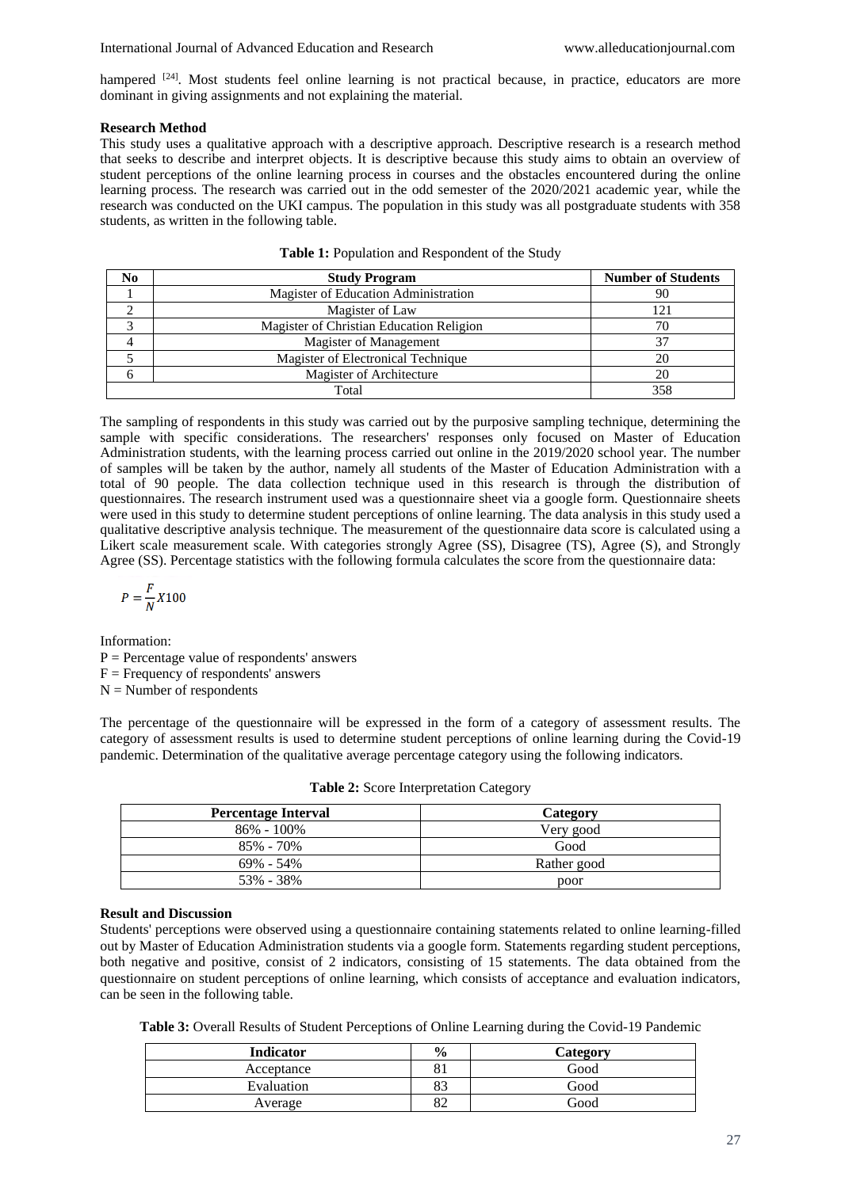hampered <sup>[24]</sup>. Most students feel online learning is not practical because, in practice, educators are more dominant in giving assignments and not explaining the material.

#### **Research Method**

This study uses a qualitative approach with a descriptive approach. Descriptive research is a research method that seeks to describe and interpret objects. It is descriptive because this study aims to obtain an overview of student perceptions of the online learning process in courses and the obstacles encountered during the online learning process. The research was carried out in the odd semester of the 2020/2021 academic year, while the research was conducted on the UKI campus. The population in this study was all postgraduate students with 358 students, as written in the following table.

| No | <b>Study Program</b>                     | <b>Number of Students</b> |
|----|------------------------------------------|---------------------------|
|    | Magister of Education Administration     | 90                        |
|    | Magister of Law                          | 121                       |
|    | Magister of Christian Education Religion | 70                        |
|    | Magister of Management                   | 37                        |
|    | Magister of Electronical Technique       | 20                        |
|    | Magister of Architecture                 | 20                        |
|    | Total                                    | 358                       |

The sampling of respondents in this study was carried out by the purposive sampling technique, determining the sample with specific considerations. The researchers' responses only focused on Master of Education Administration students, with the learning process carried out online in the 2019/2020 school year. The number of samples will be taken by the author, namely all students of the Master of Education Administration with a total of 90 people. The data collection technique used in this research is through the distribution of questionnaires. The research instrument used was a questionnaire sheet via a google form. Questionnaire sheets were used in this study to determine student perceptions of online learning. The data analysis in this study used a qualitative descriptive analysis technique. The measurement of the questionnaire data score is calculated using a Likert scale measurement scale. With categories strongly Agree (SS), Disagree (TS), Agree (S), and Strongly Agree (SS). Percentage statistics with the following formula calculates the score from the questionnaire data:

$$
P = \frac{F}{N}X100
$$

Information:  $P =$  Percentage value of respondents' answers

 $F =$  Frequency of respondents' answers

 $N =$  Number of respondents

The percentage of the questionnaire will be expressed in the form of a category of assessment results. The category of assessment results is used to determine student perceptions of online learning during the Covid-19 pandemic. Determination of the qualitative average percentage category using the following indicators.

| <b>Percentage Interval</b> | Category    |
|----------------------------|-------------|
| $86\% - 100\%$             | Very good   |
| 85% - 70%                  | Good        |
| 69% - 54%                  | Rather good |
| 53% - 38%                  | poor        |

**Table 2:** Score Interpretation Category

#### **Result and Discussion**

Students' perceptions were observed using a questionnaire containing statements related to online learning-filled out by Master of Education Administration students via a google form. Statements regarding student perceptions, both negative and positive, consist of 2 indicators, consisting of 15 statements. The data obtained from the questionnaire on student perceptions of online learning, which consists of acceptance and evaluation indicators, can be seen in the following table.

**Table 3:** Overall Results of Student Perceptions of Online Learning during the Covid-19 Pandemic

| <b>Indicator</b> | $\frac{0}{0}$ | Category |
|------------------|---------------|----------|
| Acceptance       |               | Good     |
| Evaluation       | o o<br>o o    | Good     |
| Average          | ٥۷            | Good     |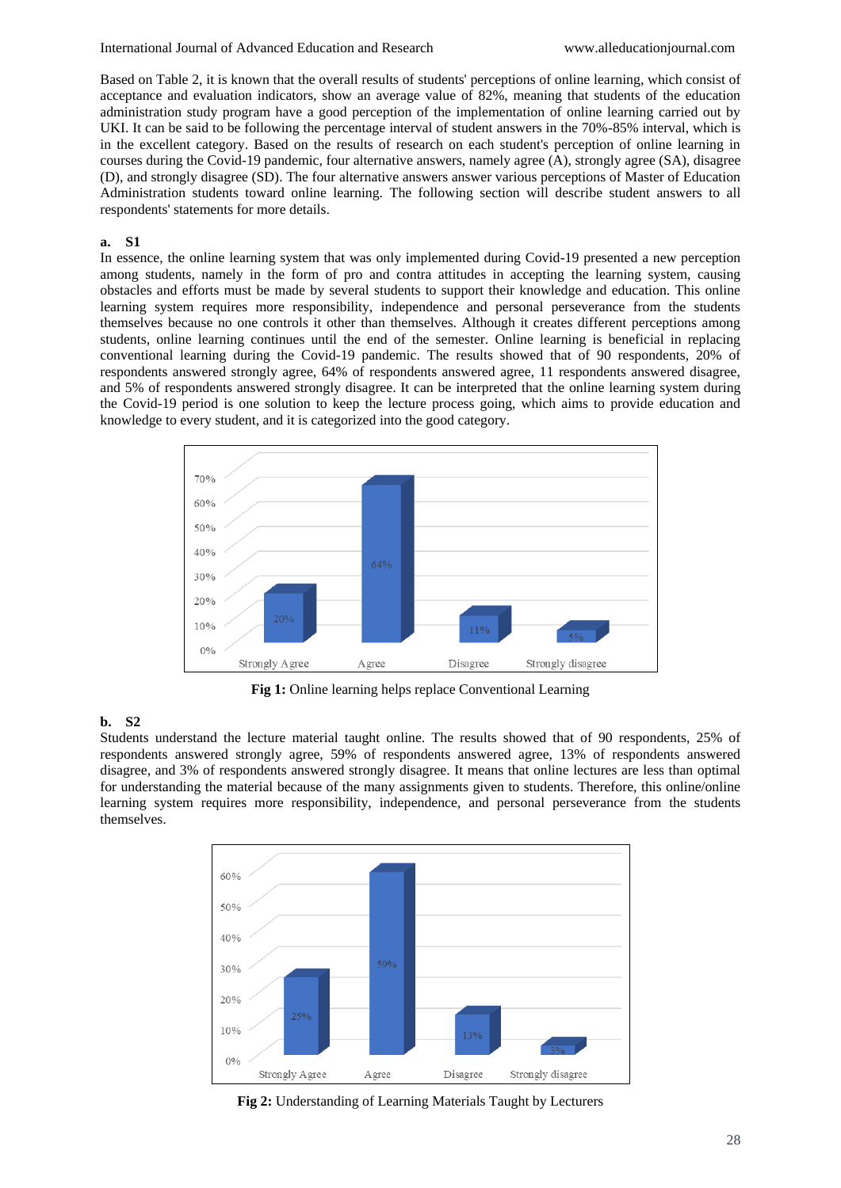Based on Table 2, it is known that the overall results of students' perceptions of online learning, which consist of acceptance and evaluation indicators, show an average value of 82%, meaning that students of the education administration study program have a good perception of the implementation of online learning carried out by UKI. It can be said to be following the percentage interval of student answers in the 70%-85% interval, which is in the excellent category. Based on the results of research on each student's perception of online learning in courses during the Covid-19 pandemic, four alternative answers, namely agree (A), strongly agree (SA), disagree (D), and strongly disagree (SD). The four alternative answers answer various perceptions of Master of Education Administration students toward online learning. The following section will describe student answers to all respondents' statements for more details.

#### **a. S1**

In essence, the online learning system that was only implemented during Covid-19 presented a new perception among students, namely in the form of pro and contra attitudes in accepting the learning system, causing obstacles and efforts must be made by several students to support their knowledge and education. This online learning system requires more responsibility, independence and personal perseverance from the students themselves because no one controls it other than themselves. Although it creates different perceptions among students, online learning continues until the end of the semester. Online learning is beneficial in replacing conventional learning during the Covid-19 pandemic. The results showed that of 90 respondents, 20% of respondents answered strongly agree, 64% of respondents answered agree, 11 respondents answered disagree, and 5% of respondents answered strongly disagree. It can be interpreted that the online learning system during the Covid-19 period is one solution to keep the lecture process going, which aims to provide education and knowledge to every student, and it is categorized into the good category.



**Fig 1:** Online learning helps replace Conventional Learning

## **b. S2**

Students understand the lecture material taught online. The results showed that of 90 respondents, 25% of respondents answered strongly agree, 59% of respondents answered agree, 13% of respondents answered disagree, and 3% of respondents answered strongly disagree. It means that online lectures are less than optimal for understanding the material because of the many assignments given to students. Therefore, this online/online learning system requires more responsibility, independence, and personal perseverance from the students themselves.



**Fig 2:** Understanding of Learning Materials Taught by Lecturers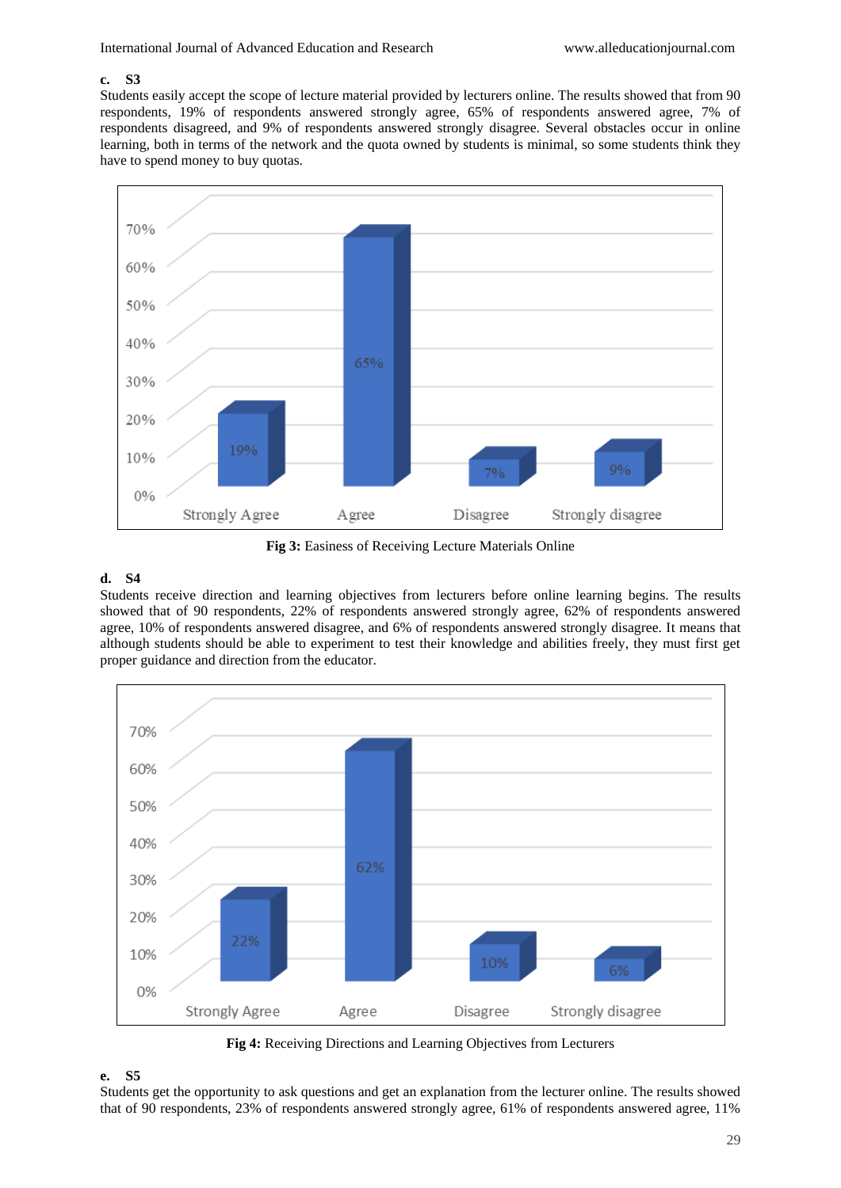### **c. S3**

Students easily accept the scope of lecture material provided by lecturers online. The results showed that from 90 respondents, 19% of respondents answered strongly agree, 65% of respondents answered agree, 7% of respondents disagreed, and 9% of respondents answered strongly disagree. Several obstacles occur in online learning, both in terms of the network and the quota owned by students is minimal, so some students think they have to spend money to buy quotas.



**Fig 3:** Easiness of Receiving Lecture Materials Online

## **d. S4**

Students receive direction and learning objectives from lecturers before online learning begins. The results showed that of 90 respondents, 22% of respondents answered strongly agree, 62% of respondents answered agree, 10% of respondents answered disagree, and 6% of respondents answered strongly disagree. It means that although students should be able to experiment to test their knowledge and abilities freely, they must first get proper guidance and direction from the educator.



**Fig 4:** Receiving Directions and Learning Objectives from Lecturers

### **e. S5**

Students get the opportunity to ask questions and get an explanation from the lecturer online. The results showed that of 90 respondents, 23% of respondents answered strongly agree, 61% of respondents answered agree, 11%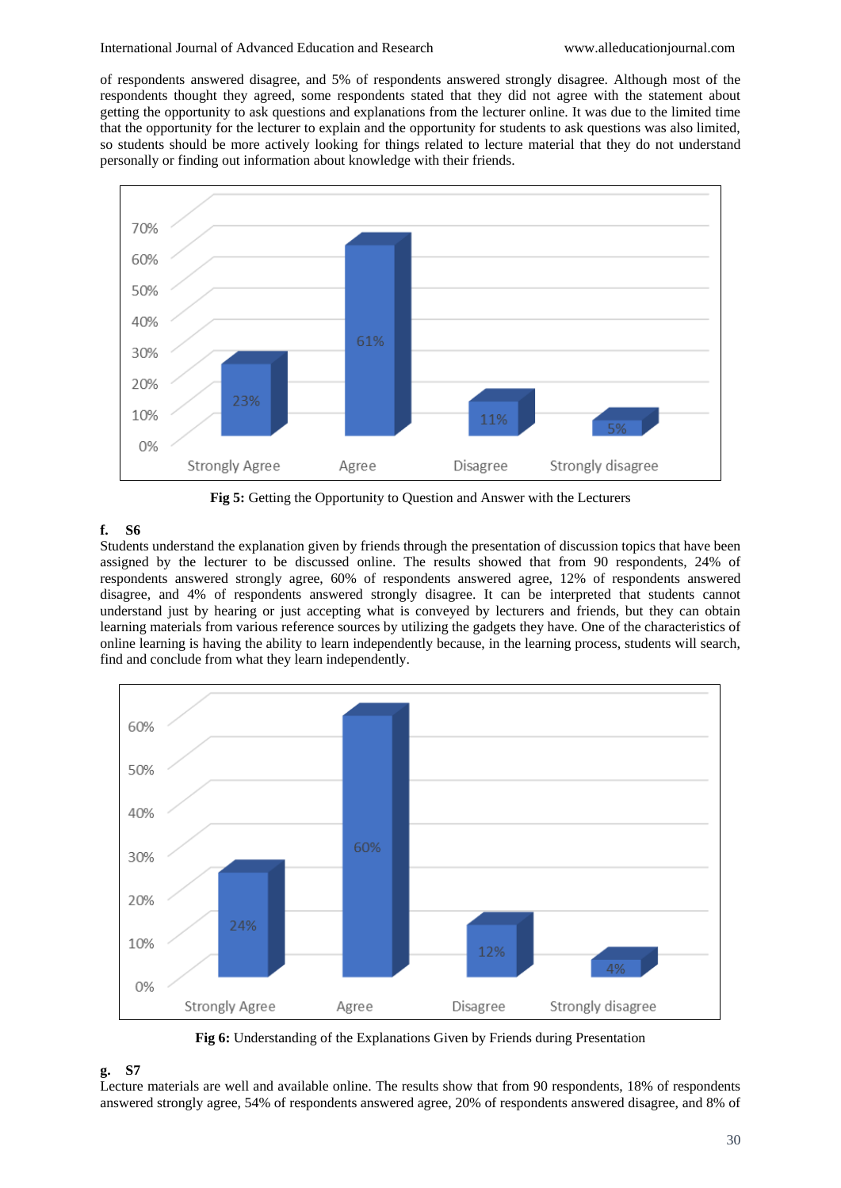of respondents answered disagree, and 5% of respondents answered strongly disagree. Although most of the respondents thought they agreed, some respondents stated that they did not agree with the statement about getting the opportunity to ask questions and explanations from the lecturer online. It was due to the limited time that the opportunity for the lecturer to explain and the opportunity for students to ask questions was also limited, so students should be more actively looking for things related to lecture material that they do not understand personally or finding out information about knowledge with their friends.



**Fig 5:** Getting the Opportunity to Question and Answer with the Lecturers

### **f. S6**

Students understand the explanation given by friends through the presentation of discussion topics that have been assigned by the lecturer to be discussed online. The results showed that from 90 respondents, 24% of respondents answered strongly agree, 60% of respondents answered agree, 12% of respondents answered disagree, and 4% of respondents answered strongly disagree. It can be interpreted that students cannot understand just by hearing or just accepting what is conveyed by lecturers and friends, but they can obtain learning materials from various reference sources by utilizing the gadgets they have. One of the characteristics of online learning is having the ability to learn independently because, in the learning process, students will search, find and conclude from what they learn independently.



**Fig 6:** Understanding of the Explanations Given by Friends during Presentation

### **g. S7**

Lecture materials are well and available online. The results show that from 90 respondents, 18% of respondents answered strongly agree, 54% of respondents answered agree, 20% of respondents answered disagree, and 8% of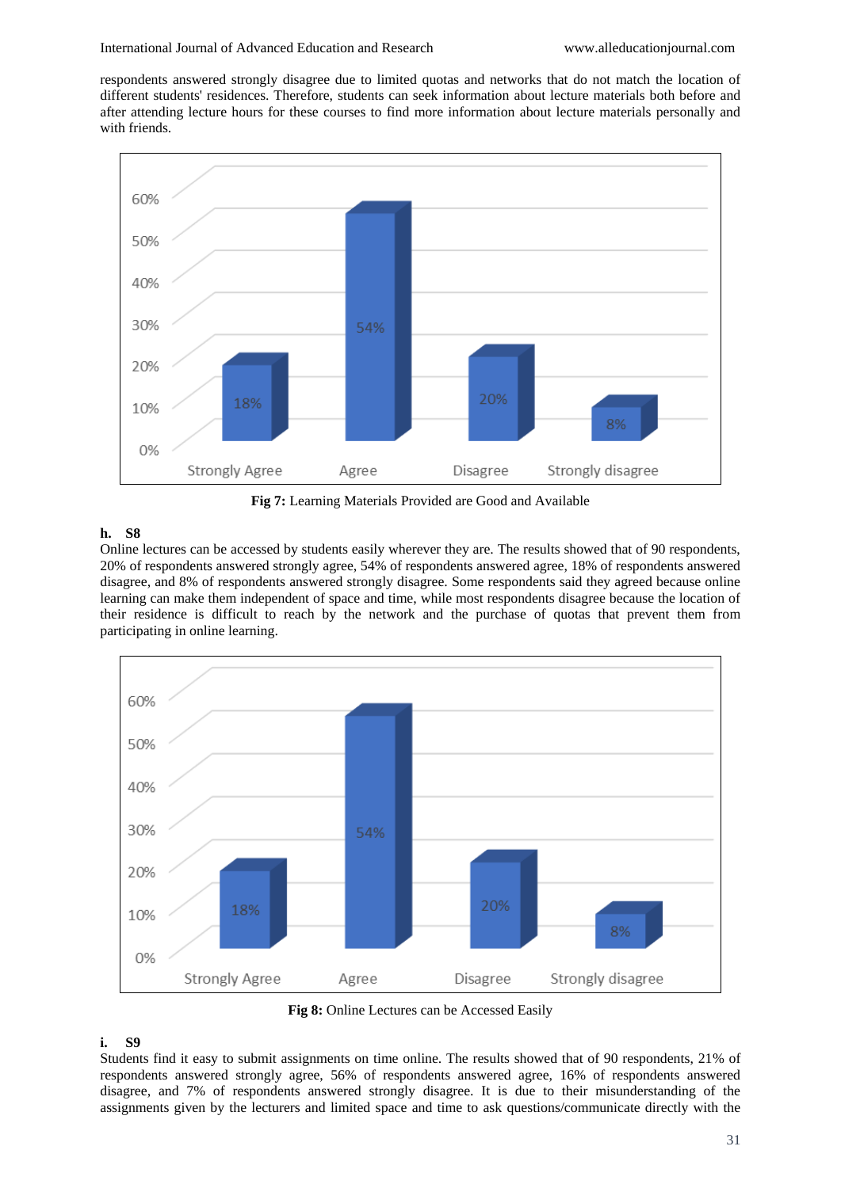respondents answered strongly disagree due to limited quotas and networks that do not match the location of different students' residences. Therefore, students can seek information about lecture materials both before and after attending lecture hours for these courses to find more information about lecture materials personally and with friends.



**Fig 7:** Learning Materials Provided are Good and Available

### **h. S8**

Online lectures can be accessed by students easily wherever they are. The results showed that of 90 respondents, 20% of respondents answered strongly agree, 54% of respondents answered agree, 18% of respondents answered disagree, and 8% of respondents answered strongly disagree. Some respondents said they agreed because online learning can make them independent of space and time, while most respondents disagree because the location of their residence is difficult to reach by the network and the purchase of quotas that prevent them from participating in online learning.



**Fig 8:** Online Lectures can be Accessed Easily

#### **i. S9**

Students find it easy to submit assignments on time online. The results showed that of 90 respondents, 21% of respondents answered strongly agree, 56% of respondents answered agree, 16% of respondents answered disagree, and 7% of respondents answered strongly disagree. It is due to their misunderstanding of the assignments given by the lecturers and limited space and time to ask questions/communicate directly with the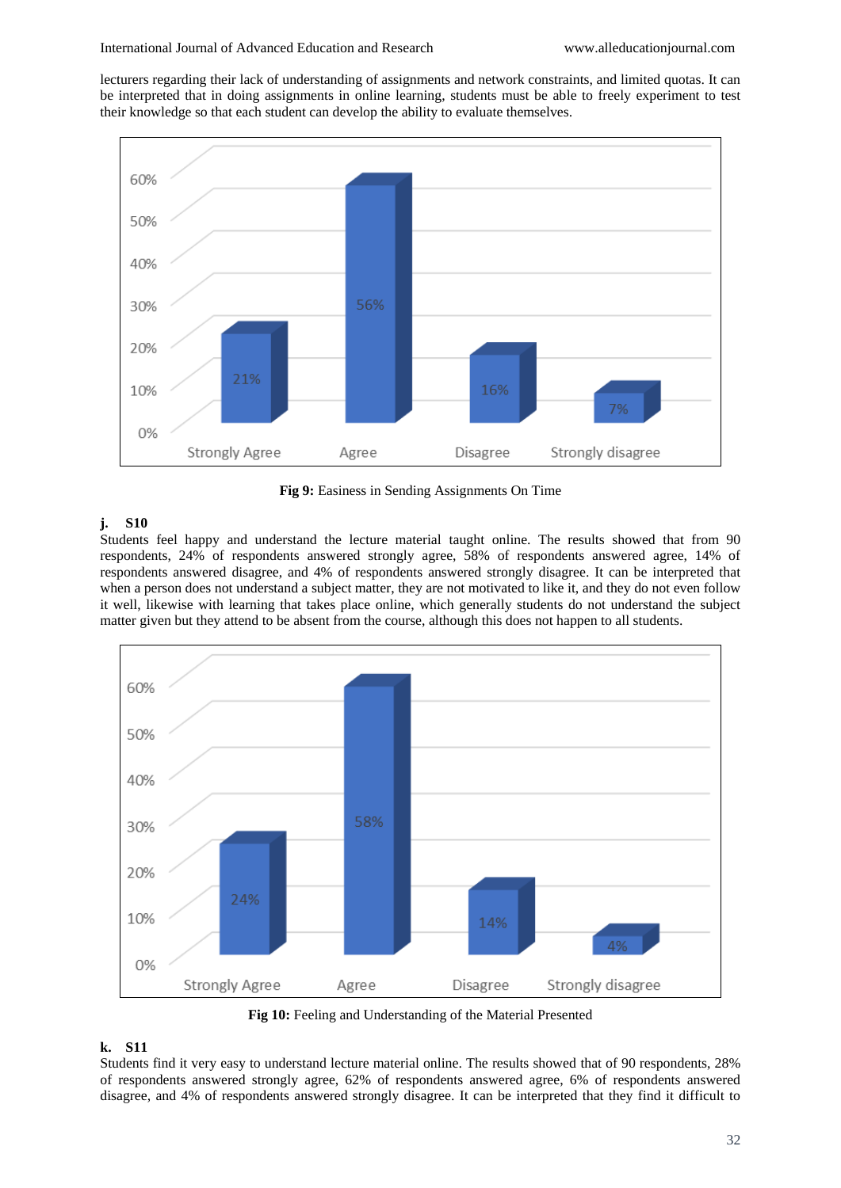lecturers regarding their lack of understanding of assignments and network constraints, and limited quotas. It can be interpreted that in doing assignments in online learning, students must be able to freely experiment to test their knowledge so that each student can develop the ability to evaluate themselves.



**Fig 9:** Easiness in Sending Assignments On Time

### **j. S10**

Students feel happy and understand the lecture material taught online. The results showed that from 90 respondents, 24% of respondents answered strongly agree, 58% of respondents answered agree, 14% of respondents answered disagree, and 4% of respondents answered strongly disagree. It can be interpreted that when a person does not understand a subject matter, they are not motivated to like it, and they do not even follow it well, likewise with learning that takes place online, which generally students do not understand the subject matter given but they attend to be absent from the course, although this does not happen to all students.



**Fig 10:** Feeling and Understanding of the Material Presented

### **k. S11**

Students find it very easy to understand lecture material online. The results showed that of 90 respondents, 28% of respondents answered strongly agree, 62% of respondents answered agree, 6% of respondents answered disagree, and 4% of respondents answered strongly disagree. It can be interpreted that they find it difficult to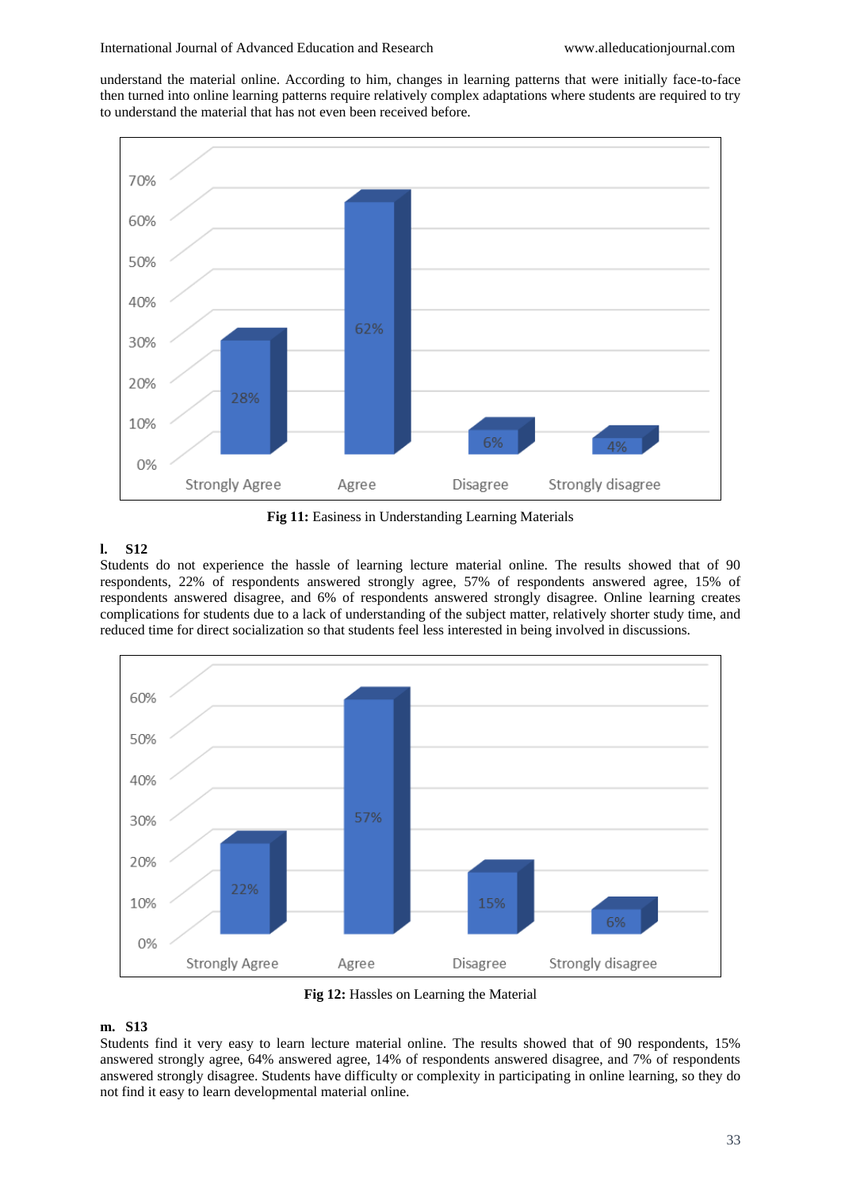understand the material online. According to him, changes in learning patterns that were initially face-to-face then turned into online learning patterns require relatively complex adaptations where students are required to try to understand the material that has not even been received before.



**Fig 11:** Easiness in Understanding Learning Materials

### **l. S12**

Students do not experience the hassle of learning lecture material online. The results showed that of 90 respondents, 22% of respondents answered strongly agree, 57% of respondents answered agree, 15% of respondents answered disagree, and 6% of respondents answered strongly disagree. Online learning creates complications for students due to a lack of understanding of the subject matter, relatively shorter study time, and reduced time for direct socialization so that students feel less interested in being involved in discussions.



**Fig 12:** Hassles on Learning the Material

## **m. S13**

Students find it very easy to learn lecture material online. The results showed that of 90 respondents, 15% answered strongly agree, 64% answered agree, 14% of respondents answered disagree, and 7% of respondents answered strongly disagree. Students have difficulty or complexity in participating in online learning, so they do not find it easy to learn developmental material online.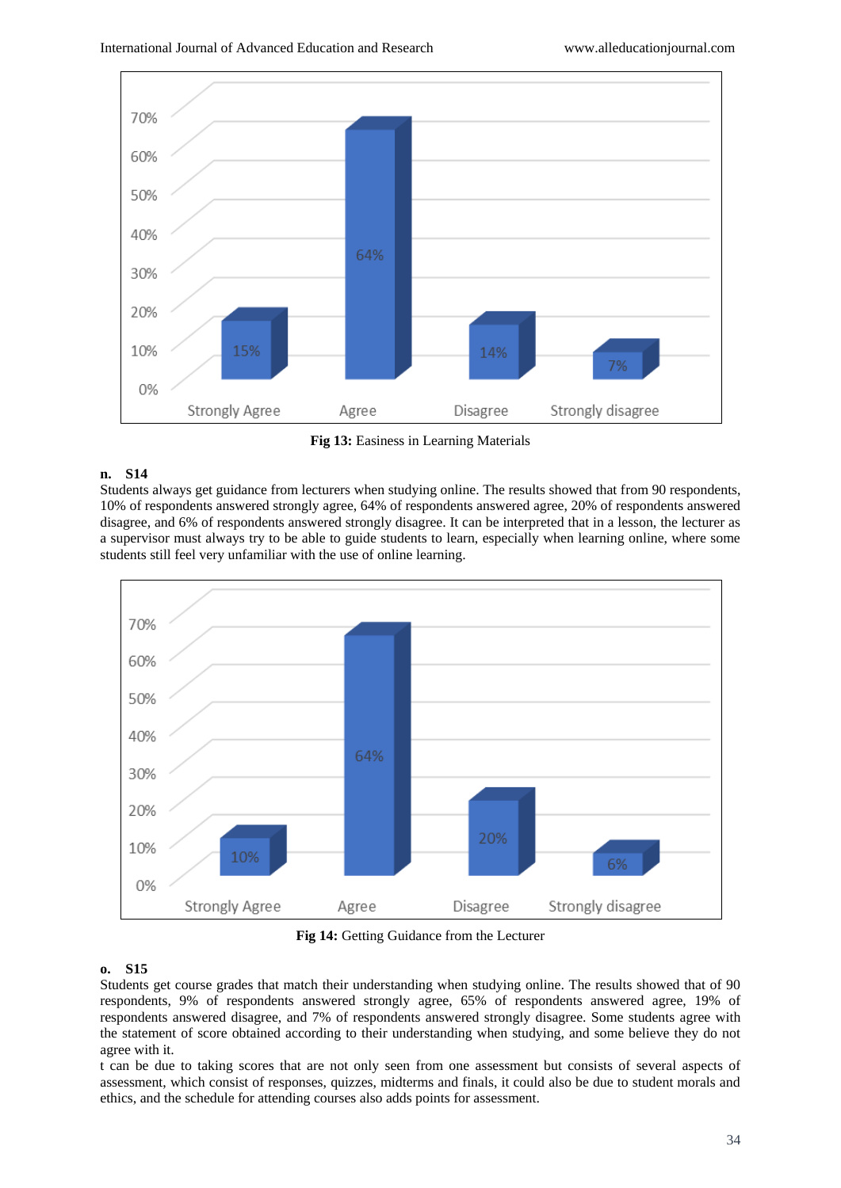

**Fig 13:** Easiness in Learning Materials

## **n. S14**

Students always get guidance from lecturers when studying online. The results showed that from 90 respondents, 10% of respondents answered strongly agree, 64% of respondents answered agree, 20% of respondents answered disagree, and 6% of respondents answered strongly disagree. It can be interpreted that in a lesson, the lecturer as a supervisor must always try to be able to guide students to learn, especially when learning online, where some students still feel very unfamiliar with the use of online learning.



**Fig 14:** Getting Guidance from the Lecturer

## **o. S15**

Students get course grades that match their understanding when studying online. The results showed that of 90 respondents, 9% of respondents answered strongly agree, 65% of respondents answered agree, 19% of respondents answered disagree, and 7% of respondents answered strongly disagree. Some students agree with the statement of score obtained according to their understanding when studying, and some believe they do not agree with it.

t can be due to taking scores that are not only seen from one assessment but consists of several aspects of assessment, which consist of responses, quizzes, midterms and finals, it could also be due to student morals and ethics, and the schedule for attending courses also adds points for assessment.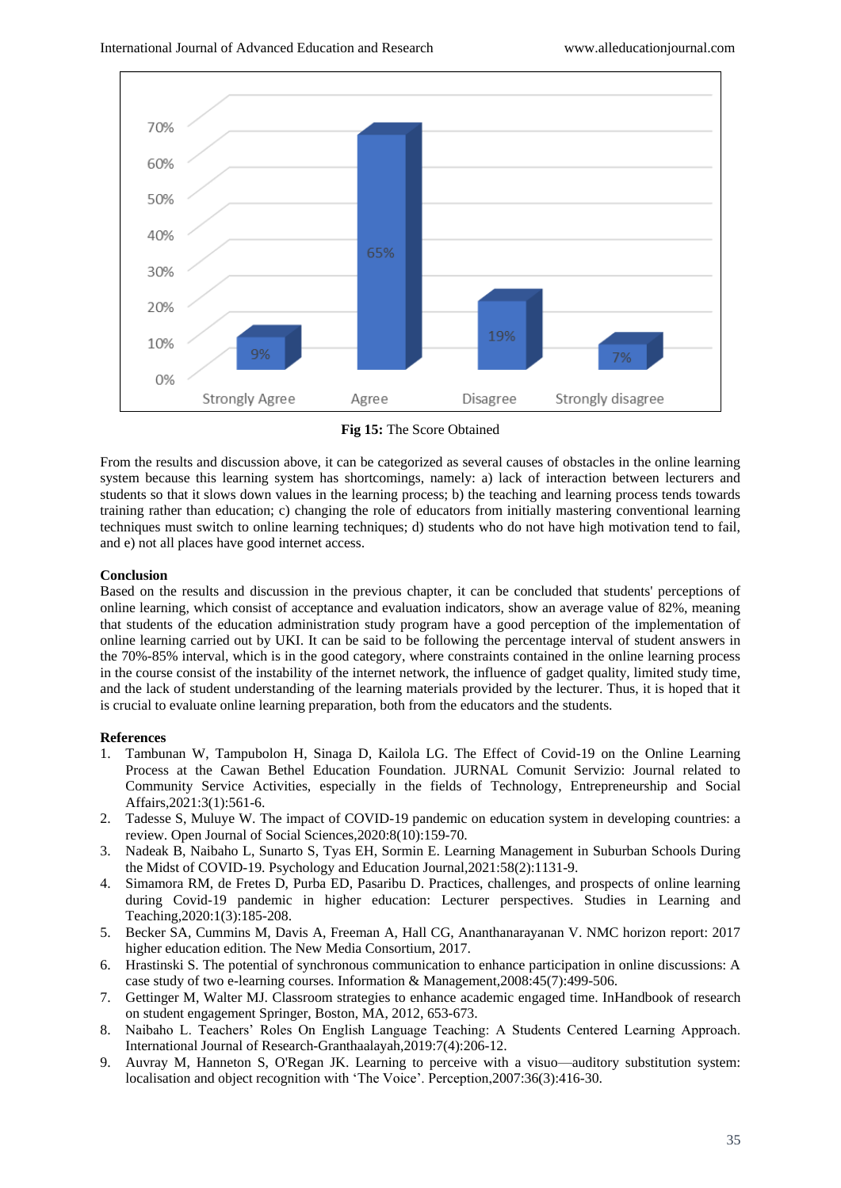

**Fig 15:** The Score Obtained

From the results and discussion above, it can be categorized as several causes of obstacles in the online learning system because this learning system has shortcomings, namely: a) lack of interaction between lecturers and students so that it slows down values in the learning process; b) the teaching and learning process tends towards training rather than education; c) changing the role of educators from initially mastering conventional learning techniques must switch to online learning techniques; d) students who do not have high motivation tend to fail, and e) not all places have good internet access.

### **Conclusion**

Based on the results and discussion in the previous chapter, it can be concluded that students' perceptions of online learning, which consist of acceptance and evaluation indicators, show an average value of 82%, meaning that students of the education administration study program have a good perception of the implementation of online learning carried out by UKI. It can be said to be following the percentage interval of student answers in the 70%-85% interval, which is in the good category, where constraints contained in the online learning process in the course consist of the instability of the internet network, the influence of gadget quality, limited study time, and the lack of student understanding of the learning materials provided by the lecturer. Thus, it is hoped that it is crucial to evaluate online learning preparation, both from the educators and the students.

### **References**

- 1. Tambunan W, Tampubolon H, Sinaga D, Kailola LG. The Effect of Covid-19 on the Online Learning Process at the Cawan Bethel Education Foundation. JURNAL Comunit Servizio: Journal related to Community Service Activities, especially in the fields of Technology, Entrepreneurship and Social Affairs,2021:3(1):561-6.
- 2. Tadesse S, Muluye W. The impact of COVID-19 pandemic on education system in developing countries: a review. Open Journal of Social Sciences,2020:8(10):159-70.
- 3. Nadeak B, Naibaho L, Sunarto S, Tyas EH, Sormin E. Learning Management in Suburban Schools During the Midst of COVID-19. Psychology and Education Journal,2021:58(2):1131-9.
- 4. Simamora RM, de Fretes D, Purba ED, Pasaribu D. Practices, challenges, and prospects of online learning during Covid-19 pandemic in higher education: Lecturer perspectives. Studies in Learning and Teaching,2020:1(3):185-208.
- 5. Becker SA, Cummins M, Davis A, Freeman A, Hall CG, Ananthanarayanan V. NMC horizon report: 2017 higher education edition. The New Media Consortium, 2017.
- 6. Hrastinski S. The potential of synchronous communication to enhance participation in online discussions: A case study of two e-learning courses. Information & Management,2008:45(7):499-506.
- 7. Gettinger M, Walter MJ. Classroom strategies to enhance academic engaged time. InHandbook of research on student engagement Springer, Boston, MA, 2012, 653-673.
- 8. Naibaho L. Teachers' Roles On English Language Teaching: A Students Centered Learning Approach. International Journal of Research-Granthaalayah,2019:7(4):206-12.
- 9. Auvray M, Hanneton S, O'Regan JK. Learning to perceive with a visuo—auditory substitution system: localisation and object recognition with 'The Voice'. Perception,2007:36(3):416-30.